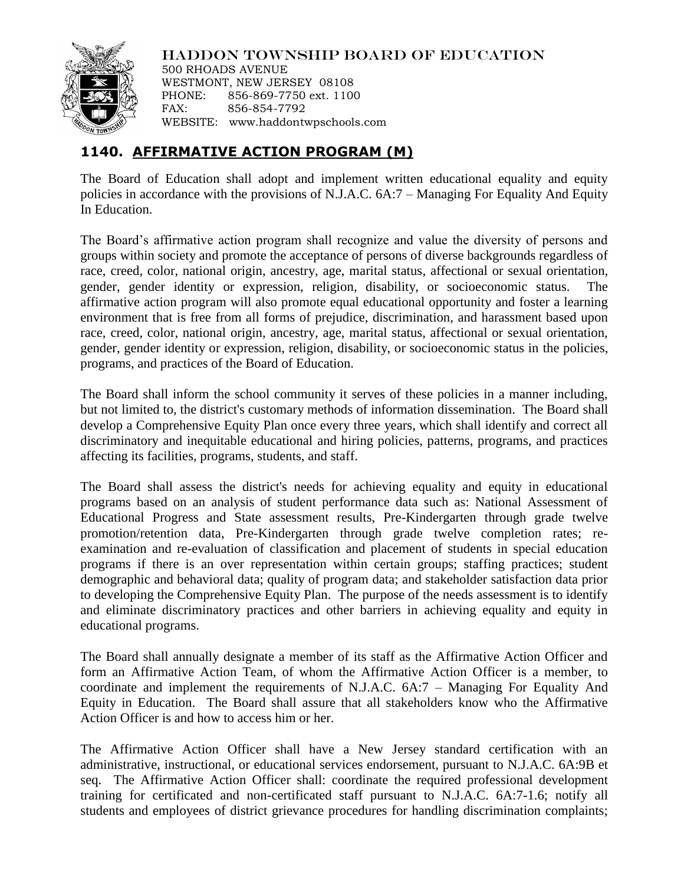

HADDON TOWNSHIP BOARD OF EDUCATION

500 RHOADS AVENUE WESTMONT, NEW JERSEY 08108 PHONE: 856-869-7750 ext. 1100 FAX: 856-854-7792 WEBSITE: www.haddontwpschools.com

## **1140. AFFIRMATIVE ACTION PROGRAM (M)**

The Board of Education shall adopt and implement written educational equality and equity policies in accordance with the provisions of N.J.A.C. 6A:7 – Managing For Equality And Equity In Education.

The Board's affirmative action program shall recognize and value the diversity of persons and groups within society and promote the acceptance of persons of diverse backgrounds regardless of race, creed, color, national origin, ancestry, age, marital status, affectional or sexual orientation, gender, gender identity or expression, religion, disability, or socioeconomic status. affirmative action program will also promote equal educational opportunity and foster a learning environment that is free from all forms of prejudice, discrimination, and harassment based upon race, creed, color, national origin, ancestry, age, marital status, affectional or sexual orientation, gender, gender identity or expression, religion, disability, or socioeconomic status in the policies, programs, and practices of the Board of Education.

The Board shall inform the school community it serves of these policies in a manner including, but not limited to, the district's customary methods of information dissemination. The Board shall develop a Comprehensive Equity Plan once every three years, which shall identify and correct all discriminatory and inequitable educational and hiring policies, patterns, programs, and practices affecting its facilities, programs, students, and staff.

The Board shall assess the district's needs for achieving equality and equity in educational programs based on an analysis of student performance data such as: National Assessment of Educational Progress and State assessment results, Pre-Kindergarten through grade twelve promotion/retention data, Pre-Kindergarten through grade twelve completion rates; reexamination and re-evaluation of classification and placement of students in special education programs if there is an over representation within certain groups; staffing practices; student demographic and behavioral data; quality of program data; and stakeholder satisfaction data prior to developing the Comprehensive Equity Plan. The purpose of the needs assessment is to identify and eliminate discriminatory practices and other barriers in achieving equality and equity in educational programs.

The Board shall annually designate a member of its staff as the Affirmative Action Officer and form an Affirmative Action Team, of whom the Affirmative Action Officer is a member, to coordinate and implement the requirements of N.J.A.C. 6A:7 – Managing For Equality And Equity in Education. The Board shall assure that all stakeholders know who the Affirmative Action Officer is and how to access him or her.

The Affirmative Action Officer shall have a New Jersey standard certification with an administrative, instructional, or educational services endorsement, pursuant to N.J.A.C. 6A:9B et seq. The Affirmative Action Officer shall: coordinate the required professional development training for certificated and non-certificated staff pursuant to N.J.A.C. 6A:7-1.6; notify all students and employees of district grievance procedures for handling discrimination complaints;